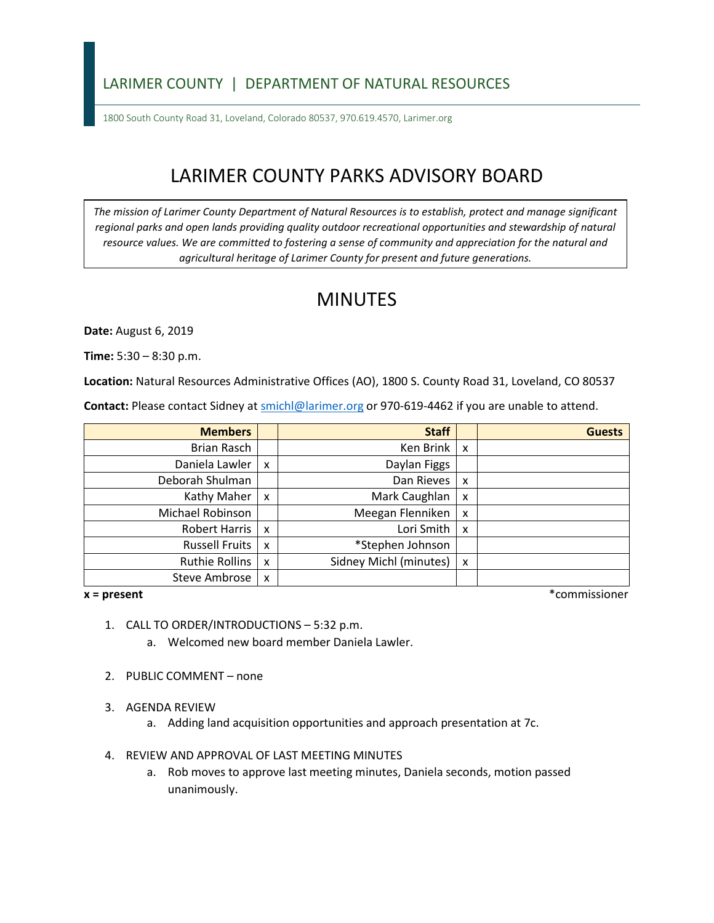## LARIMER COUNTY | DEPARTMENT OF NATURAL RESOURCES

1800 South County Road 31, Loveland, Colorado 80537, 970.619.4570, Larimer.org

# LARIMER COUNTY PARKS ADVISORY BOARD

*The mission of Larimer County Department of Natural Resources is to establish, protect and manage significant*  regional parks and open lands providing quality outdoor recreational opportunities and stewardship of natural *resource values. We are committed to fostering a sense of community and appreciation for the natural and agricultural heritage of Larimer County for present and future generations.* 

## MINUTES

**Date:** August 6, 2019

**Time:** 5:30 – 8:30 p.m.

**Location:** Natural Resources Administrative Offices (AO), 1800 S. County Road 31, Loveland, CO 80537

Contact: Please contact Sidney at **smichl@larimer.org** or 970-619-4462 if you are unable to attend.

| <b>Members</b>        |                           | <b>Staff</b>           |                           | <b>Guests</b> |
|-----------------------|---------------------------|------------------------|---------------------------|---------------|
| Brian Rasch           |                           | Ken Brink              | $\boldsymbol{\mathsf{x}}$ |               |
| Daniela Lawler        | X                         | Daylan Figgs           |                           |               |
| Deborah Shulman       |                           | Dan Rieves             | x                         |               |
| Kathy Maher           | $\boldsymbol{\mathsf{x}}$ | Mark Caughlan          | x                         |               |
| Michael Robinson      |                           | Meegan Flenniken       | X                         |               |
| Robert Harris         | $\boldsymbol{\mathsf{x}}$ | Lori Smith             | X                         |               |
| <b>Russell Fruits</b> | $\boldsymbol{\mathsf{x}}$ | *Stephen Johnson       |                           |               |
| <b>Ruthie Rollins</b> | $\boldsymbol{\mathsf{x}}$ | Sidney Michl (minutes) | X                         |               |
| <b>Steve Ambrose</b>  | X                         |                        |                           |               |

#### $x = present$

**x = present** \*commissioner

- 1. CALL TO ORDER/INTRODUCTIONS 5:32 p.m.
	- a. Welcomed new board member Daniela Lawler.
- 2. PUBLIC COMMENT none
- 3. AGENDA REVIEW
	- a. Adding land acquisition opportunities and approach presentation at 7c.
- 4. REVIEW AND APPROVAL OF LAST MEETING MINUTES
	- a. Rob moves to approve last meeting minutes, Daniela seconds, motion passed unanimously.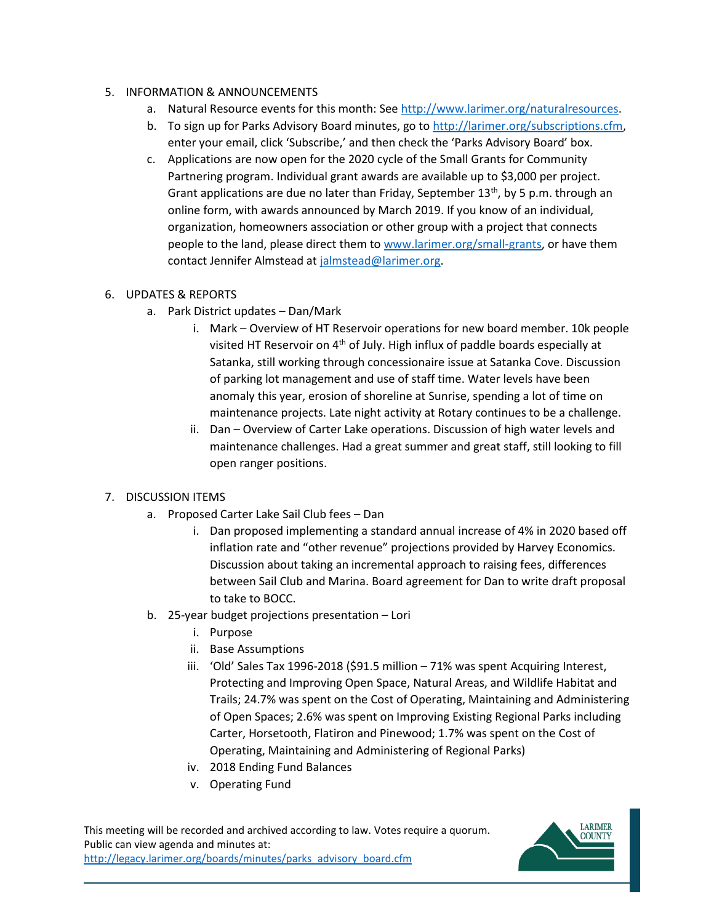#### 5. INFORMATION & ANNOUNCEMENTS

- a. Natural Resource events for this month: See [http://www.larimer.org/naturalresources.](http://www.larimer.org/naturalresources)
- b. To sign up for Parks Advisory Board minutes, go to [http://larimer.org/subscriptions.cfm,](http://larimer.org/subscriptions.cfm) enter your email, click 'Subscribe,' and then check the 'Parks Advisory Board' box.
- c. Applications are now open for the 2020 cycle of the Small Grants for Community online form, with awards announced by March 2019. If you know of an individual, organization, homeowners association or other group with a project that connects people to the land, please direct them to [www.larimer.org/small-grants,](http://www.larimer.org/small-grants) or have them contact Jennifer Almstead at <u>jalmstead@larimer.org</u>.<br>6. UPDATES & REPORTS Partnering program. Individual grant awards are available up to \$3,000 per project. Grant applications are due no later than Friday, September  $13<sup>th</sup>$ , by 5 p.m. through an

- a. Park District updates Dan/Mark
	- i. Mark Overview of HT Reservoir operations for new board member. 10k people anomaly this year, erosion of shoreline at Sunrise, spending a lot of time on visited HT Reservoir on 4<sup>th</sup> of July. High influx of paddle boards especially at Satanka, still working through concessionaire issue at Satanka Cove. Discussion of parking lot management and use of staff time. Water levels have been maintenance projects. Late night activity at Rotary continues to be a challenge.
	- ii. Dan Overview of Carter Lake operations. Discussion of high water levels and open ranger positions. maintenance challenges. Had a great summer and great staff, still looking to fill

### 7. DISCUSSION ITEMS

- a. Proposed Carter Lake Sail Club fees Dan
	- i. Dan proposed implementing a standard annual increase of 4% in 2020 based off inflation rate and "other revenue" projections provided by Harvey Economics. to take to BOCC. Discussion about taking an incremental approach to raising fees, differences between Sail Club and Marina. Board agreement for Dan to write draft proposal
- b. 25-year budget projections presentation Lori
	- i. Purpose
	- ii. Base Assumptions
	- Trails; 24.7% was spent on the Cost of Operating, Maintaining and Administering Carter, Horsetooth, Flatiron and Pinewood; 1.7% was spent on the Cost of iii. 'Old' Sales Tax 1996-2018 (\$91.5 million – 71% was spent Acquiring Interest, Protecting and Improving Open Space, Natural Areas, and Wildlife Habitat and of Open Spaces; 2.6% was spent on Improving Existing Regional Parks including Operating, Maintaining and Administering of Regional Parks)
	- iv. 2018 Ending Fund Balances
	- v. Operating Fund

This meeting will be recorded and archived according to law. Votes require a quorum. Public can view agenda and minutes at: http://legacy.larimer.org/boards/minutes/parks\_advisory\_board.cfm

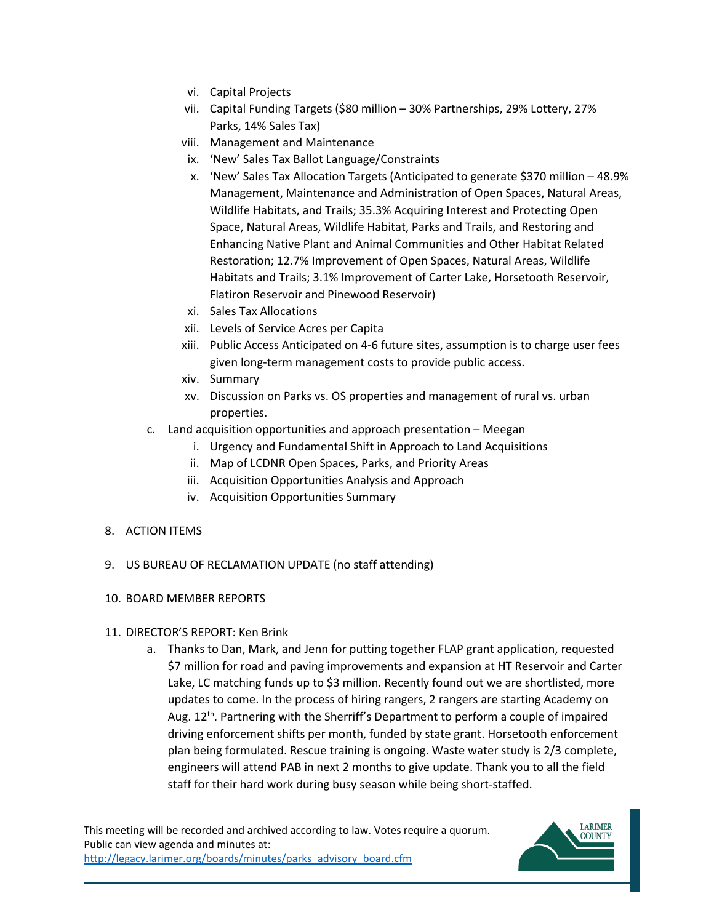- vi. Capital Projects
- vii. Capital Funding Targets (\$80 million 30% Partnerships, 29% Lottery, 27% Parks, 14% Sales Tax)
- viii. Management and Maintenance
- ix. 'New' Sales Tax Ballot Language/Constraints
- x. 'New' Sales Tax Allocation Targets (Anticipated to generate \$370 million 48.9% Restoration; 12.7% Improvement of Open Spaces, Natural Areas, Wildlife Management, Maintenance and Administration of Open Spaces, Natural Areas, Wildlife Habitats, and Trails; 35.3% Acquiring Interest and Protecting Open Space, Natural Areas, Wildlife Habitat, Parks and Trails, and Restoring and Enhancing Native Plant and Animal Communities and Other Habitat Related Habitats and Trails; 3.1% Improvement of Carter Lake, Horsetooth Reservoir, Flatiron Reservoir and Pinewood Reservoir)
- xi. Sales Tax Allocations
- xii. Levels of Service Acres per Capita
- xiii. Public Access Anticipated on 4-6 future sites, assumption is to charge user fees given long-term management costs to provide public access.
- xiv. Summary
- xv. Discussion on Parks vs. OS properties and management of rural vs. urban properties.
- c. Land acquisition opportunities and approach presentation Meegan
	- i. Urgency and Fundamental Shift in Approach to Land Acquisitions
	- ii. Map of LCDNR Open Spaces, Parks, and Priority Areas
	- iii. Acquisition Opportunities Analysis and Approach
	- iv. Acquisition Opportunities Summary

#### 8. ACTION ITEMS

- 9. US BUREAU OF RECLAMATION UPDATE (no staff attending)
- 10. BOARD MEMBER REPORTS
- 11. DIRECTOR'S REPORT: Ken Brink
	- Lake, LC matching funds up to \$3 million. Recently found out we are shortlisted, more driving enforcement shifts per month, funded by state grant. Horsetooth enforcement a. Thanks to Dan, Mark, and Jenn for putting together FLAP grant application, requested \$7 million for road and paving improvements and expansion at HT Reservoir and Carter updates to come. In the process of hiring rangers, 2 rangers are starting Academy on Aug.  $12<sup>th</sup>$ . Partnering with the Sherriff's Department to perform a couple of impaired plan being formulated. Rescue training is ongoing. Waste water study is 2/3 complete, engineers will attend PAB in next 2 months to give update. Thank you to all the field staff for their hard work during busy season while being short-staffed.

This meeting will be recorded and archived according to law. Votes require a quorum. Public can view agenda and minutes at: http://legacy.larimer.org/boards/minutes/parks\_advisory\_board.cfm